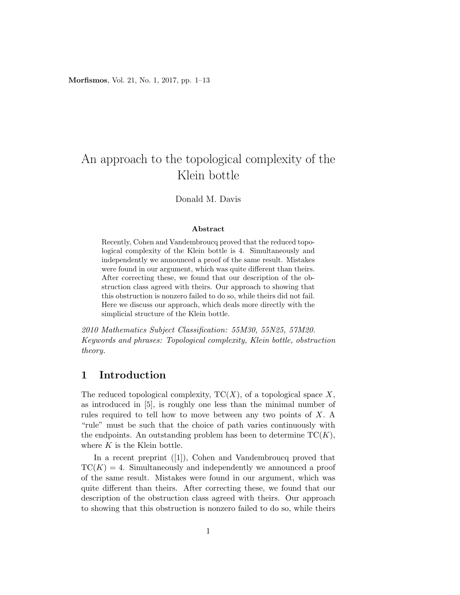Morfismos, Vol. 21, No. 1, 2017, pp. 1–13

# An approach to the topological complexity of the Klein bottle

### Donald M. Davis

#### Abstract

Recently, Cohen and Vandembroucq proved that the reduced topological complexity of the Klein bottle is 4. Simultaneously and independently we announced a proof of the same result. Mistakes were found in our argument, which was quite different than theirs. After correcting these, we found that our description of the obstruction class agreed with theirs. Our approach to showing that this obstruction is nonzero failed to do so, while theirs did not fail. Here we discuss our approach, which deals more directly with the simplicial structure of the Klein bottle.

2010 Mathematics Subject Classification: 55M30, 55N25, 57M20. Keywords and phrases: Topological complexity, Klein bottle, obstruction theory.

### 1 Introduction

The reduced topological complexity,  $TC(X)$ , of a topological space X, as introduced in [5], is roughly one less than the minimal number of rules required to tell how to move between any two points of X. A "rule" must be such that the choice of path varies continuously with the endpoints. An outstanding problem has been to determine  $TC(K)$ , where  $K$  is the Klein bottle.

In a recent preprint ([1]), Cohen and Vandembroucq proved that  $TC(K) = 4$ . Simultaneously and independently we announced a proof of the same result. Mistakes were found in our argument, which was quite different than theirs. After correcting these, we found that our description of the obstruction class agreed with theirs. Our approach to showing that this obstruction is nonzero failed to do so, while theirs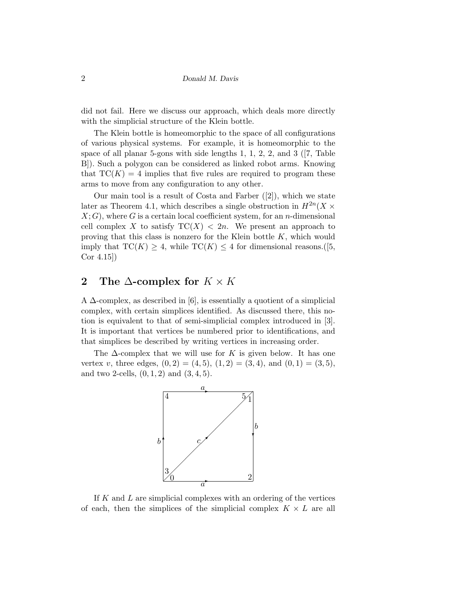did not fail. Here we discuss our approach, which deals more directly with the simplicial structure of the Klein bottle.

The Klein bottle is homeomorphic to the space of all configurations of various physical systems. For example, it is homeomorphic to the space of all planar 5-gons with side lengths 1, 1, 2, 2, and 3 ([7, Table B]). Such a polygon can be considered as linked robot arms. Knowing that  $TC(K) = 4$  implies that five rules are required to program these arms to move from any configuration to any other.

Our main tool is a result of Costa and Farber ([2]), which we state later as Theorem 4.1, which describes a single obstruction in  $H^{2n}(X \times$  $X; G$ , where G is a certain local coefficient system, for an *n*-dimensional cell complex X to satisfy  $TC(X) < 2n$ . We present an approach to proving that this class is nonzero for the Klein bottle  $K$ , which would imply that  $TC(K) \geq 4$ , while  $TC(K) \leq 4$  for dimensional reasons. ([5, Cor 4.15])

## 2 The  $\Delta$ -complex for  $K \times K$

A  $\Delta$ -complex, as described in [6], is essentially a quotient of a simplicial complex, with certain simplices identified. As discussed there, this notion is equivalent to that of semi-simplicial complex introduced in [3]. It is important that vertices be numbered prior to identifications, and that simplices be described by writing vertices in increasing order.

The  $\Delta$ -complex that we will use for K is given below. It has one vertex v, three edges,  $(0, 2) = (4, 5), (1, 2) = (3, 4),$  and  $(0, 1) = (3, 5),$ and two 2-cells,  $(0, 1, 2)$  and  $(3, 4, 5)$ .



If  $K$  and  $L$  are simplicial complexes with an ordering of the vertices of each, then the simplices of the simplicial complex  $K \times L$  are all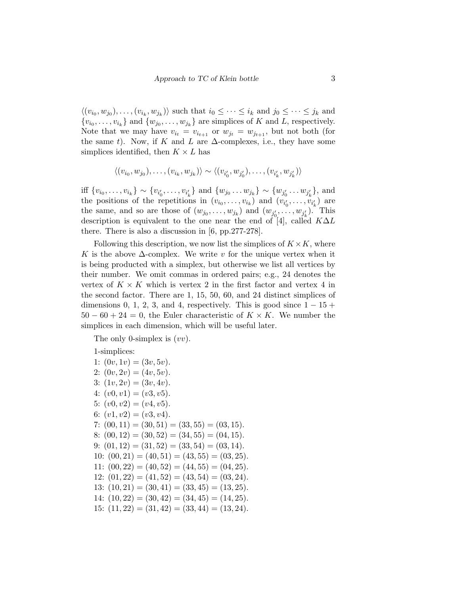$\langle (v_{i_0}, w_{j_0}), \ldots, (v_{i_k}, w_{j_k}) \rangle$  such that  $i_0 \leq \cdots \leq i_k$  and  $j_0 \leq \cdots \leq j_k$  and  $\{v_{i_0}, \ldots, v_{i_k}\}\$ and  $\{w_{j_0}, \ldots, w_{j_k}\}\$ are simplices of K and L, respectively. Note that we may have  $v_{i_t} = v_{i_{t+1}}$  or  $w_{j_t} = w_{j_{t+1}}$ , but not both (for the same t). Now, if K and L are  $\Delta$ -complexes, i.e., they have some simplices identified, then  $K \times L$  has

$$
\langle (v_{i_0}, w_{j_0}), \ldots, (v_{i_k}, w_{j_k}) \rangle \sim \langle (v_{i'_0}, w_{j'_0}), \ldots, (v_{i'_k}, w_{j'_k}) \rangle
$$

iff  $\{v_{i_0}, \ldots, v_{i_k}\} \sim \{v_{i'_0}, \ldots, v_{i'_k}\}$  and  $\{w_{j_0} \ldots w_{j_k}\} \sim \{w_{j'_0} \ldots w_{j'_k}\}$ , and the positions of the repetitions in  $(v_{i_0}, \ldots, v_{i_k})$  and  $(v_{i'_0}, \ldots, v_{i'_k})$  are the same, and so are those of  $(w_{j_0}, \ldots, w_{j_k})$  and  $(w_{j'_0}, \ldots, w_{j'_k})$ . This description is equivalent to the one near the end of [4], called  $K\Delta L$ there. There is also a discussion in [6, pp.277-278].

Following this description, we now list the simplices of  $K \times K$ , where K is the above  $\Delta$ -complex. We write v for the unique vertex when it is being producted with a simplex, but otherwise we list all vertices by their number. We omit commas in ordered pairs; e.g., 24 denotes the vertex of  $K \times K$  which is vertex 2 in the first factor and vertex 4 in the second factor. There are 1, 15, 50, 60, and 24 distinct simplices of dimensions 0, 1, 2, 3, and 4, respectively. This is good since  $1 - 15 +$  $50-60+24=0$ , the Euler characteristic of  $K \times K$ . We number the simplices in each dimension, which will be useful later.

The only 0-simplex is  $(vv)$ .

1-simplices:

1:  $(0v, 1v) = (3v, 5v)$ . 2:  $(0v, 2v) = (4v, 5v)$ . 3:  $(1v, 2v) = (3v, 4v)$ . 4:  $(v0, v1) = (v3, v5)$ . 5:  $(v0, v2) = (v4, v5)$ . 6:  $(v1, v2) = (v3, v4)$ . 7:  $(00, 11) = (30, 51) = (33, 55) = (03, 15).$ 8:  $(00, 12) = (30, 52) = (34, 55) = (04, 15).$ 9:  $(01, 12) = (31, 52) = (33, 54) = (03, 14).$ 10:  $(00, 21) = (40, 51) = (43, 55) = (03, 25).$ 11:  $(00, 22) = (40, 52) = (44, 55) = (04, 25).$ 12:  $(01, 22) = (41, 52) = (43, 54) = (03, 24).$ 13:  $(10, 21) = (30, 41) = (33, 45) = (13, 25).$ 14:  $(10, 22) = (30, 42) = (34, 45) = (14, 25).$ 15:  $(11, 22) = (31, 42) = (33, 44) = (13, 24).$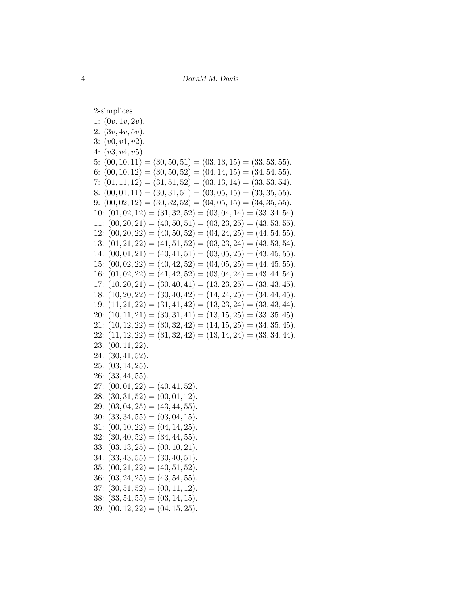2-simplices

| 1: $(0v, 1v, 2v)$ .                                                        |
|----------------------------------------------------------------------------|
| 2: (3v, 4v, 5v).                                                           |
| 3: (v0, v1, v2).                                                           |
| 4: $(v3, v4, v5)$ .                                                        |
| 5: $(00, 10, 11) = (30, 50, 51) = (03, 13, 15) = (33, 53, 55).$            |
| 6: $(00, 10, 12) = (30, 50, 52) = (04, 14, 15) = (34, 54, 55).$            |
| 7: $(01, 11, 12) = (31, 51, 52) = (03, 13, 14) = (33, 53, 54).$            |
| 8: $(00, 01, 11) = (30, 31, 51) = (03, 05, 15) = (33, 35, 55).$            |
| 9: $(00, 02, 12) = (30, 32, 52) = (04, 05, 15) = (34, 35, 55).$            |
| 10: $(01, 02, 12) = (31, 32, 52) = (03, 04, 14) = (33, 34, 54).$           |
| 11: $(00, 20, 21) = (40, 50, 51) = (03, 23, 25) = (43, 53, 55).$           |
| 12: $(00, 20, 22) = (40, 50, 52) = (04, 24, 25) = (44, 54, 55).$           |
| $(01, 21, 22) = (41, 51, 52) = (03, 23, 24) = (43, 53, 54).$<br>13:        |
| $(00, 01, 21) = (40, 41, 51) = (03, 05, 25) = (43, 45, 55).$<br>14:        |
| $(00, 02, 22) = (40, 42, 52) = (04, 05, 25) = (44, 45, 55).$<br>15:        |
| 16: $(01, 02, 22) = (41, 42, 52) = (03, 04, 24) = (43, 44, 54).$           |
| $(10, 20, 21) = (30, 40, 41) = (13, 23, 25) = (33, 43, 45).$<br>17:        |
| $(10, 20, 22) = (30, 40, 42) = (14, 24, 25) = (34, 44, 45).$<br>18:        |
| $(11, 21, 22) = (31, 41, 42) = (13, 23, 24) = (33, 43, 44).$<br>19:        |
| $(10, 11, 21) = (30, 31, 41) = (13, 15, 25) = (33, 35, 45).$<br><b>20:</b> |
| $(10, 12, 22) = (30, 32, 42) = (14, 15, 25) = (34, 35, 45).$<br>21:        |
| $(11, 12, 22) = (31, 32, 42) = (13, 14, 24) = (33, 34, 44).$<br>22:        |
| (00, 11, 22).<br><b>23:</b>                                                |
| (30, 41, 52).<br>24:                                                       |
| (03, 14, 25).<br>25:                                                       |
| $(33, 44, 55)$ .<br>26:                                                    |
| $(00, 01, 22) = (40, 41, 52).$<br>27:                                      |
| 28: $(30, 31, 52) = (00, 01, 12).$                                         |
| $(03, 04, 25) = (43, 44, 55).$<br>29:                                      |
| $(33, 34, 55) = (03, 04, 15).$<br>30:                                      |
| $(00, 10, 22) = (04, 14, 25).$<br>31:                                      |
| 32: $(30, 40, 52) = (34, 44, 55).$                                         |
| 33: $(03, 13, 25) = (00, 10, 21).$                                         |
| 34:<br>$(33, 43, 55) = (30, 40, 51).$                                      |
| 35: $(00, 21, 22) = (40, 51, 52).$                                         |
| $(03, 24, 25) = (43, 54, 55).$<br>36:                                      |
| $(30, 51, 52) = (00, 11, 12).$<br>37:                                      |
| $(33, 54, 55) = (03, 14, 15).$<br>38:                                      |
| 39: $(00, 12, 22) = (04, 15, 25).$                                         |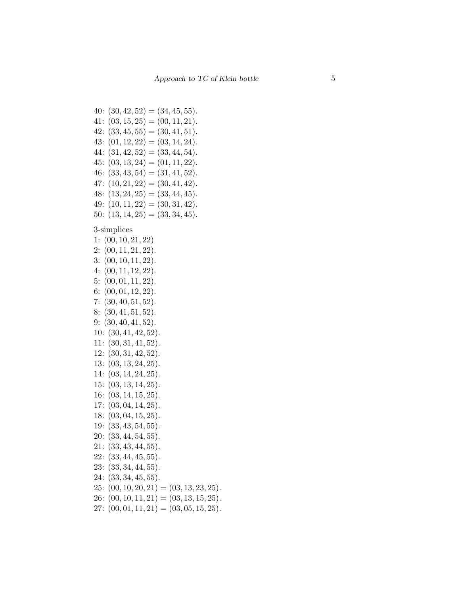$40: (30, 42, 52) = (34, 45, 55).$  $41: (03, 15, 25) = (00, 11, 21).$  $42: (33, 45, 55) = (30, 41, 51).$  $43: (01, 12, 22) = (03, 14, 24).$  $44: (31, 42, 52) = (33, 44, 54).$  $45: (03, 13, 24) = (01, 11, 22).$ 46:  $(33, 43, 54) = (31, 41, 52)$ .  $47: (10, 21, 22) = (30, 41, 42).$  $48: (13, 24, 25) = (33, 44, 45).$  $49: (10, 11, 22) = (30, 31, 42).$ 50:  $(13, 14, 25) = (33, 34, 45).$ 

3-simplices

 $1: (00, 10, 21, 22)$  $2: (00, 11, 21, 22).$  $3: (00, 10, 11, 22).$  $4: (00, 11, 12, 22).$  $5: (00, 01, 11, 22).$  $6: (00, 01, 12, 22).$  $7: (30, 40, 51, 52).$  $8: (30, 41, 51, 52).$  $9: (30, 40, 41, 52).$  $10: (30, 41, 42, 52).$  $11: (30, 31, 41, 52).$  $12: (30, 31, 42, 52).$  $13: (03, 13, 24, 25).$  $14: (03, 14, 24, 25).$  $15: (03, 13, 14, 25).$  $16: (03, 14, 15, 25).$  $17: (03, 04, 14, 25).$  $18: (03, 04, 15, 25).$  $19: (33, 43, 54, 55).$  $20: (33, 44, 54, 55).$  $21: (33, 43, 44, 55).$  $22: (33, 44, 45, 55).$  $23: (33, 34, 44, 55).$  $24: (33, 34, 45, 55).$  $25: (00, 10, 20, 21) = (03, 13, 23, 25).$ 26:  $(00, 10, 11, 21) = (03, 13, 15, 25).$ 27:  $(00, 01, 11, 21) = (03, 05, 15, 25).$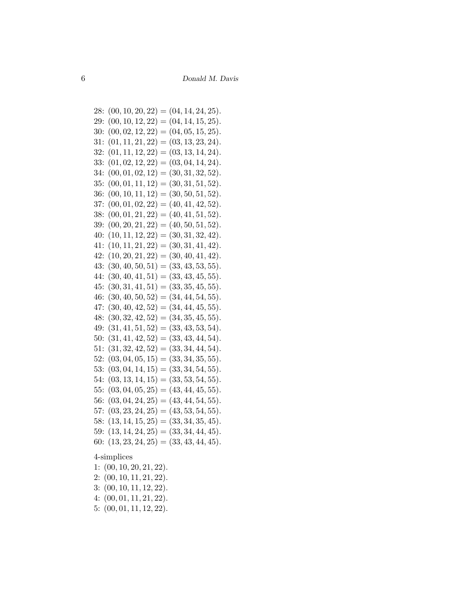28:  $(00, 10, 20, 22) = (04, 14, 24, 25)$ . 29:  $(00, 10, 12, 22) = (04, 14, 15, 25).$ 30:  $(00, 02, 12, 22) = (04, 05, 15, 25).$ 31:  $(01, 11, 21, 22) = (03, 13, 23, 24).$ 32:  $(01, 11, 12, 22) = (03, 13, 14, 24).$ 33:  $(01, 02, 12, 22) = (03, 04, 14, 24).$ 34:  $(00, 01, 02, 12) = (30, 31, 32, 52).$ 35:  $(00, 01, 11, 12) = (30, 31, 51, 52)$ . 36:  $(00, 10, 11, 12) = (30, 50, 51, 52).$ 37:  $(00, 01, 02, 22) = (40, 41, 42, 52).$ 38:  $(00, 01, 21, 22) = (40, 41, 51, 52).$ 39:  $(00, 20, 21, 22) = (40, 50, 51, 52)$ . 40:  $(10, 11, 12, 22) = (30, 31, 32, 42).$ 41:  $(10, 11, 21, 22) = (30, 31, 41, 42).$ 42:  $(10, 20, 21, 22) = (30, 40, 41, 42).$ 43:  $(30, 40, 50, 51) = (33, 43, 53, 55).$ 44:  $(30, 40, 41, 51) = (33, 43, 45, 55).$  $45: (30, 31, 41, 51) = (33, 35, 45, 55).$ 46:  $(30, 40, 50, 52) = (34, 44, 54, 55).$ 47:  $(30, 40, 42, 52) = (34, 44, 45, 55).$ 48:  $(30, 32, 42, 52) = (34, 35, 45, 55)$ . 49:  $(31, 41, 51, 52) = (33, 43, 53, 54).$ 50:  $(31, 41, 42, 52) = (33, 43, 44, 54).$  $51: (31, 32, 42, 52) = (33, 34, 44, 54).$ 52:  $(03, 04, 05, 15) = (33, 34, 35, 55).$ 53:  $(03, 04, 14, 15) = (33, 34, 54, 55).$ 54:  $(03, 13, 14, 15) = (33, 53, 54, 55).$ 55:  $(03, 04, 05, 25) = (43, 44, 45, 55)$ . 56:  $(03, 04, 24, 25) = (43, 44, 54, 55).$ 57:  $(03, 23, 24, 25) = (43, 53, 54, 55)$ . 58:  $(13, 14, 15, 25) = (33, 34, 35, 45).$ 59:  $(13, 14, 24, 25) = (33, 34, 44, 45).$ 60:  $(13, 23, 24, 25) = (33, 43, 44, 45).$ 

4-simplices

1: (00, 10, 20, 21, 22).  $2: (00, 10, 11, 21, 22).$ 3: (00, 10, 11, 12, 22). 4:  $(00, 01, 11, 21, 22)$ . 5: (00, 01, 11, 12, 22).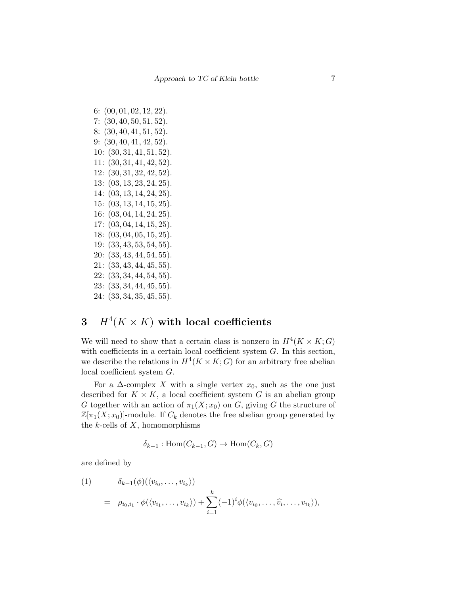6: (00, 01, 02, 12, 22). 7:  $(30, 40, 50, 51, 52)$ . 8: (30, 40, 41, 51, 52). 9: (30, 40, 41, 42, 52). 10: (30, 31, 41, 51, 52). 11: (30, 31, 41, 42, 52). 12: (30, 31, 32, 42, 52). 13: (03, 13, 23, 24, 25). 14: (03, 13, 14, 24, 25).  $15: (03, 13, 14, 15, 25).$ 16: (03, 04, 14, 24, 25). 17: (03, 04, 14, 15, 25). 18: (03, 04, 05, 15, 25). 19: (33, 43, 53, 54, 55). 20: (33, 43, 44, 54, 55).  $21: (33, 43, 44, 45, 55).$  $22: (33, 34, 44, 54, 55).$ 23: (33, 34, 44, 45, 55). 24: (33, 34, 35, 45, 55).

## 3  $H^4(K \times K)$  with local coefficients

We will need to show that a certain class is nonzero in  $H^4(K \times K; G)$ with coefficients in a certain local coefficient system  $G$ . In this section, we describe the relations in  $H^4(K \times K; G)$  for an arbitrary free abelian local coefficient system G.

For a  $\Delta$ -complex X with a single vertex  $x_0$ , such as the one just described for  $K \times K$ , a local coefficient system G is an abelian group G together with an action of  $\pi_1(X; x_0)$  on G, giving G the structure of  $\mathbb{Z}[\pi_1(X; x_0)]$ -module. If  $C_k$  denotes the free abelian group generated by the  $k$ -cells of  $X$ , homomorphisms

$$
\delta_{k-1} : \text{Hom}(C_{k-1}, G) \to \text{Hom}(C_k, G)
$$

are defined by

(1) 
$$
\delta_{k-1}(\phi)(\langle v_{i_0}, \dots, v_{i_k} \rangle)
$$

$$
= \rho_{i_0, i_1} \cdot \phi(\langle v_{i_1}, \dots, v_{i_k} \rangle) + \sum_{i=1}^k (-1)^i \phi(\langle v_{i_0}, \dots, \widehat{v_i}, \dots, v_{i_k} \rangle),
$$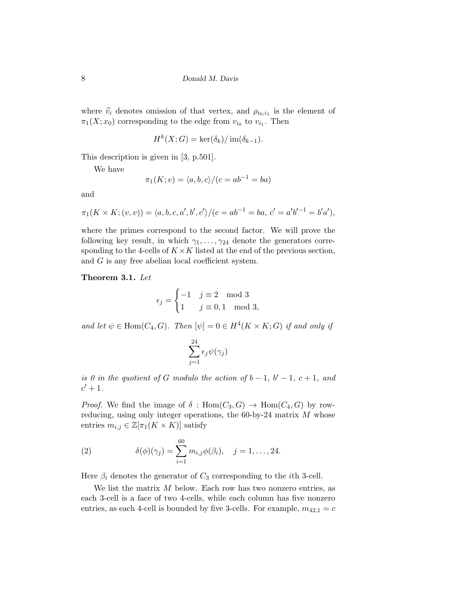where  $\hat{v}_i$  denotes omission of that vertex, and  $\rho_{i_0,i_1}$  is the element of  $\pi_1(X; x_0)$  corresponding to the edge from  $v_{i_0}$  to  $v_{i_1}$ . Then

$$
H^k(X;G) = \ker(\delta_k) / \operatorname{im}(\delta_{k-1}).
$$

This description is given in [3, p.501].

We have

$$
\pi_1(K; v) = \langle a, b, c \rangle / (c = ab^{-1} = ba)
$$

and

$$
\pi_1(K \times K; (v, v)) = \langle a, b, c, a', b', c' \rangle / (c = ab^{-1} = ba, c' = a'b'^{-1} = b'a'),
$$

where the primes correspond to the second factor. We will prove the following key result, in which  $\gamma_1, \ldots, \gamma_{24}$  denote the generators corresponding to the 4-cells of  $K \times K$  listed at the end of the previous section, and G is any free abelian local coefficient system.

Theorem 3.1. Let

$$
\epsilon_j = \begin{cases}\n-1 & j \equiv 2 \mod 3 \\
1 & j \equiv 0, 1 \mod 3,\n\end{cases}
$$

and let  $\psi \in \text{Hom}(C_4, G)$ . Then  $[\psi] = 0 \in H^4(K \times K; G)$  if and only if

$$
\sum_{j=1}^{24} \epsilon_j \psi(\gamma_j)
$$

is 0 in the quotient of G modulo the action of  $b-1$ ,  $b'-1$ ,  $c+1$ , and  $c'+1$ .

*Proof.* We find the image of  $\delta$ :  $Hom(C_3, G) \rightarrow Hom(C_4, G)$  by rowreducing, using only integer operations, the 60-by-24 matrix M whose entries  $m_{i,j} \in \mathbb{Z}[\pi_1(K \times K)]$  satisfy

(2) 
$$
\delta(\phi)(\gamma_j) = \sum_{i=1}^{60} m_{i,j} \phi(\beta_i), \quad j = 1, ..., 24.
$$

Here  $\beta_i$  denotes the generator of  $C_3$  corresponding to the *i*th 3-cell.

We list the matrix  $M$  below. Each row has two nonzero entries, as each 3-cell is a face of two 4-cells, while each column has five nonzero entries, as each 4-cell is bounded by five 3-cells. For example,  $m_{42,1} = c$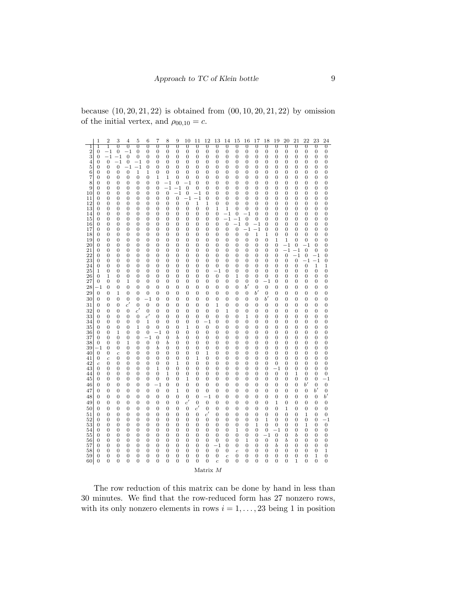because  $(10, 20, 21, 22)$  is obtained from  $(00, 10, 20, 21, 22)$  by omission of the initial vertex, and  $\rho_{00,10} = c$ .

|                     | 1                                | $\overline{2}$                   | 3                                  | 4             | 5                          | 6                                | 7                              | 8                         | 9                                  | 10                                 | 11                               | 12                               | 13                                 | 14                                 | 15                                 | 16                                 | 17                               | 18                               | 19                                 | 20                               | 21                                   | 22                                   | 23                                   | 24                                   |
|---------------------|----------------------------------|----------------------------------|------------------------------------|---------------|----------------------------|----------------------------------|--------------------------------|---------------------------|------------------------------------|------------------------------------|----------------------------------|----------------------------------|------------------------------------|------------------------------------|------------------------------------|------------------------------------|----------------------------------|----------------------------------|------------------------------------|----------------------------------|--------------------------------------|--------------------------------------|--------------------------------------|--------------------------------------|
| 1<br>$\overline{2}$ | 1<br>$\boldsymbol{0}$            | 1<br>$^{-1}$                     | $\overline{0}$<br>$\boldsymbol{0}$ | 0<br>$^{-1}$  | $\overline{0}$<br>$\bf{0}$ | $\overline{0}$<br>$\bf{0}$       | $\overline{0}$<br>0            | $\overline{0}$<br>0       | $\overline{0}$<br>0                | $\overline{0}$<br>$\boldsymbol{0}$ | 0<br>0                           | $\overline{0}$<br>$\bf{0}$       | $\overline{0}$<br>$\bf{0}$         | 0<br>$\boldsymbol{0}$              | $\overline{0}$<br>0                | 0<br>$\boldsymbol{0}$              | 0<br>$\boldsymbol{0}$            | $\overline{0}$<br>$\bf{0}$       | $\overline{0}$<br>$\bf{0}$         | $\overline{0}$<br>$\mathbf{0}$   | $\overline{0}$<br>$\boldsymbol{0}$   | $\overline{0}$<br>$\mathbf{0}$       | $\overline{0}$<br>$\boldsymbol{0}$   | $\overline{0}$<br>$\mathbf 0$        |
| 3                   | $\boldsymbol{0}$                 | $^{-1}$                          | $-1$                               | $\mathbf{0}$  | 0                          | $\bf{0}$                         | $\mathbf{0}$                   | $\boldsymbol{0}$          | 0                                  | $\boldsymbol{0}$                   | 0                                | $\bf{0}$                         | $\bf{0}$                           | $\mathbf{0}$                       | 0                                  | $\boldsymbol{0}$                   | $\boldsymbol{0}$                 | $\bf{0}$                         | $\bf{0}$                           | $\mathbf{0}$                     | 0                                    | $\boldsymbol{0}$                     | $\boldsymbol{0}$                     | $\bf{0}$                             |
| 4                   | 0                                | 0                                | $^{-1}$                            | $\mathbf{0}$  | $-1$                       | 0                                | 0                              | 0                         | 0                                  | 0                                  | 0                                | 0                                | 0                                  | 0                                  | 0                                  | 0                                  | 0                                | 0                                | 0                                  | 0                                | 0                                    | 0                                    | 0                                    | 0                                    |
| 5<br>6              | 0<br>0                           | 0<br>0                           | $\boldsymbol{0}$<br>0              | $-1$<br>0     | $-1$<br>1                  | $\bf{0}$<br>1                    | 0<br>0                         | 0<br>0                    | 0<br>0                             | 0<br>0                             | 0<br>0                           | 0<br>0                           | 0<br>0                             | 0<br>0                             | 0<br>0                             | 0<br>0                             | 0<br>0                           | 0<br>0                           | 0<br>0                             | 0<br>0                           | 0<br>0                               | 0<br>0                               | 0<br>0                               | 0<br>0                               |
| 7                   | 0                                | 0                                | 0                                  | 0             | 0                          | 0                                | 1                              | 1                         | 0                                  | 0                                  | 0                                | 0                                | 0                                  | 0                                  | 0                                  | 0                                  | 0                                | 0                                | 0                                  | 0                                | 0                                    | 0                                    | 0                                    | 0                                    |
| 8                   | $\overline{0}$                   | 0                                | $\overline{0}$                     | 0             | $\bf{0}$                   | $\overline{0}$                   | $\mathbf{0}$                   | $^{-1}$                   | $\boldsymbol{0}$                   | $^{-1}$                            | $\bf{0}$                         | $\overline{0}$                   | $\mathbf{0}$                       | $\overline{0}$                     | 0                                  | $\overline{0}$                     | 0                                | $\overline{0}$                   | 0                                  | $\overline{0}$                   | $\overline{0}$                       | $\overline{0}$                       | $\overline{0}$                       | $\bf{0}$                             |
| 9<br>10             | $\boldsymbol{0}$<br>0            | $\overline{0}$<br>0              | $\boldsymbol{0}$<br>0              | 0<br>0        | $\bf{0}$<br>0              | $\bf{0}$<br>0                    | $\boldsymbol{0}$<br>0          | $^{-1}$<br>$\overline{0}$ | $- \, 1$<br>$^{-1}$                | $\overline{0}$<br>$\boldsymbol{0}$ | $\boldsymbol{0}$<br>$-1$         | $\overline{0}$<br>$\overline{0}$ | $\mathbf{0}$<br>0                  | $\boldsymbol{0}$<br>$\overline{0}$ | $\boldsymbol{0}$<br>0              | $\boldsymbol{0}$<br>$\overline{0}$ | $\boldsymbol{0}$<br>0            | $\bf{0}$<br>0                    | $\bf{0}$<br>0                      | $\mathbf{0}$<br>$\overline{0}$   | $\boldsymbol{0}$<br>0                | $\boldsymbol{0}$<br>$\overline{0}$   | $\boldsymbol{0}$<br>0                | $\bf{0}$<br>$\mathbf{0}$             |
| 11                  | $\boldsymbol{0}$                 | 0                                | 0                                  | 0             | 0                          | 0                                | 0                              | $\boldsymbol{0}$          | $\overline{0}$                     | $-1$                               | $-1$                             | $\mathbf{0}$                     | $\mathbf{0}$                       | $\boldsymbol{0}$                   | $\boldsymbol{0}$                   | $\boldsymbol{0}$                   | 0                                | $\mathbf{0}$                     | $\mathbf{0}$                       | $\mathbf{0}$                     | 0                                    | $\boldsymbol{0}$                     | $\boldsymbol{0}$                     | $\mathbf{0}$                         |
| 12                  | 0                                | 0                                | 0                                  | 0             | 0                          | 0                                | 0                              | 0                         | $\boldsymbol{0}$                   | 0                                  | 1                                | 1                                | 0                                  | $\boldsymbol{0}$                   | 0                                  | 0                                  | 0                                | 0                                | 0                                  | 0                                | 0                                    | $\overline{0}$                       | 0                                    | $\boldsymbol{0}$                     |
| 13<br>14            | 0<br>0                           | 0<br>0                           | 0<br>0                             | 0<br>0        | 0<br>0                     | 0<br>0                           | 0<br>0                         | 0<br>0                    | 0<br>0                             | 0<br>0                             | 0<br>0                           | 0<br>0                           | 1<br>0                             | $\mathbf{1}$<br>$^{-1}$            | $\boldsymbol{0}$<br>0              | $\boldsymbol{0}$<br>$^{-1}$        | 0<br>0                           | 0<br>0                           | 0<br>0                             | 0<br>0                           | 0<br>0                               | 0<br>0                               | 0<br>0                               | $\boldsymbol{0}$<br>0                |
| 15                  | 0                                | 0                                | 0                                  | 0             | 0                          | 0                                | 0                              | 0                         | 0                                  | 0                                  | 0                                | 0                                | 0                                  | $^{-1}$                            | $- \, 1$                           | $\overline{0}$                     | $\boldsymbol{0}$                 | 0                                | 0                                  | 0                                | 0                                    | 0                                    | 0                                    | 0                                    |
| 16                  | 0                                | 0                                | 0                                  | 0             | 0                          | 0                                | 0                              | 0                         | 0                                  | 0                                  | 0                                | 0                                | 0                                  | $\boldsymbol{0}$                   | $^{-1}$                            | $\boldsymbol{0}$                   | $-1$                             | $\bf{0}$                         | 0                                  | $\mathbf{0}$                     | 0                                    | $\boldsymbol{0}$                     | 0                                    | 0                                    |
| 17<br>18            | $\boldsymbol{0}$<br>0            | $\overline{0}$<br>0              | $\boldsymbol{0}$<br>0              | 0<br>0        | $\bf{0}$<br>0              | $\bf{0}$<br>0                    | $\mathbf{0}$<br>0              | $\boldsymbol{0}$<br>0     | $\boldsymbol{0}$<br>0              | 0<br>0                             | 0<br>0                           | $\bf{0}$<br>0                    | $\bf{0}$<br>0                      | $\boldsymbol{0}$<br>$\overline{0}$ | $\boldsymbol{0}$<br>$\overline{0}$ | $^{-1}$<br>$\theta$                | $^{-1}$<br>$\mathbf{1}$          | $\mathbf{0}$<br>1                | $\mathbf{0}$<br>$\overline{0}$     | $\mathbf{0}$<br>$\overline{0}$   | $\boldsymbol{0}$<br>$\overline{0}$   | $\boldsymbol{0}$<br>$\overline{0}$   | $\boldsymbol{0}$<br>$\overline{0}$   | $\bf{0}$<br>$\mathbf{0}$             |
| 19                  | 0                                | 0                                | 0                                  | 0             | 0                          | 0                                | 0                              | 0                         | 0                                  | 0                                  | 0                                | 0                                | 0                                  | $\boldsymbol{0}$                   | $\boldsymbol{0}$                   | $\boldsymbol{0}$                   | $\boldsymbol{0}$                 | $\bf{0}$                         | $\mathbf 1$                        | 1                                | $\boldsymbol{0}$                     | $\boldsymbol{0}$                     | $\boldsymbol{0}$                     | $\boldsymbol{0}$                     |
| $^{20}$<br>21       | 0<br>0                           | 0<br>0                           | $\boldsymbol{0}$<br>0              | 0<br>0        | 0<br>0                     | 0<br>0                           | 0<br>0                         | 0<br>0                    | 0<br>0                             | 0<br>0                             | 0<br>0                           | $\overline{0}$<br>0              | $\mathbf{0}$<br>0                  | $\boldsymbol{0}$<br>0              | $\boldsymbol{0}$<br>0              | $\boldsymbol{0}$<br>0              | $\boldsymbol{0}$<br>0            | $\mathbf{0}$<br>0                | $\mathbf{0}$<br>0                  | $^{-1}$<br>$^{-1}$               | $\boldsymbol{0}$<br>$-1$             | $^{-1}$<br>$\overline{0}$            | $\mathbf{0}$<br>$\boldsymbol{0}$     | $\mathbf{0}$<br>0                    |
| 22                  | 0                                | 0                                | 0                                  | 0             | 0                          | 0                                | 0                              | 0                         | 0                                  | 0                                  | 0                                | 0                                | 0                                  | 0                                  | 0                                  | 0                                  | 0                                | 0                                | 0                                  | $\boldsymbol{0}$                 | $-1$                                 | $\boldsymbol{0}$                     | $^{-1}$                              | 0                                    |
| 23                  | 0                                | 0                                | 0                                  | 0             | 0                          | 0                                | 0                              | 0                         | 0                                  | 0                                  | 0                                | 0                                | 0                                  | 0                                  | 0                                  | 0                                  | 0                                | 0                                | 0                                  | 0                                | 0                                    | $^{-1}$                              | $^{-1}$                              | 0                                    |
| 24<br>25            | $\overline{0}$<br>1              | 0<br>$\overline{0}$              | $\overline{0}$<br>$\boldsymbol{0}$ | 0<br>0        | $\overline{0}$<br>$\bf{0}$ | $\overline{0}$<br>$\overline{0}$ | $\overline{0}$<br>$\mathbf{0}$ | $\overline{0}$<br>0       | $\overline{0}$<br>0                | $\overline{0}$<br>0                | 0<br>0                           | $\overline{0}$<br>$\bf{0}$       | 0<br>$^{-1}$                       | $\overline{0}$<br>0                | $\overline{0}$<br>$\boldsymbol{0}$ | 0<br>$\boldsymbol{0}$              | $\overline{0}$<br>$\mathbf{0}$   | $\overline{0}$<br>$\overline{0}$ | $\overline{0}$<br>$\mathbf{0}$     | $\overline{0}$<br>$\overline{0}$ | $\overline{0}$<br>0                  | $\overline{0}$<br>$\boldsymbol{0}$   | $\mathbf{1}$<br>$\boldsymbol{0}$     | 1<br>$\mathbf{0}$                    |
| 26                  | 0                                | 1                                | 0                                  | 0             | 0                          | 0                                | 0                              | 0                         | 0                                  | 0                                  | 0                                | 0                                | $\overline{0}$                     | 0                                  | $\mathbf{1}$                       | 0                                  | 0                                | 0                                | 0                                  | 0                                | 0                                    | 0                                    | $\overline{0}$                       | $\boldsymbol{0}$                     |
| 27                  | $\boldsymbol{0}$                 | 0                                | 0                                  | 1             | 0                          | 0                                | 0                              | 0                         | 0                                  | 0                                  | 0                                | 0                                | 0                                  | 0                                  | 0                                  | 0                                  | 0                                | $^{-1}$                          | 0                                  | 0                                | 0                                    | 0                                    | 0                                    | 0                                    |
| 28<br>29            | $^{-1}$<br>0                     | 0<br>$\boldsymbol{0}$            | 0<br>$\mathbf 1$                   | 0<br>0        | 0<br>$\bf{0}$              | 0<br>0                           | 0<br>0                         | 0<br>0                    | 0<br>0                             | 0<br>0                             | 0<br>0                           | 0<br>$\bf{0}$                    | 0<br>0                             | 0<br>$\boldsymbol{0}$              | 0<br>0                             | $b^{\prime}$<br>$\boldsymbol{0}$   | $\mathbf{0}$<br>$b^{\prime}$     | 0<br>$\bf{0}$                    | 0<br>$\boldsymbol{0}$              | 0<br>$\mathbf{0}$                | 0<br>$\boldsymbol{0}$                | 0<br>$\boldsymbol{0}$                | $\boldsymbol{0}$<br>$\boldsymbol{0}$ | 0<br>0                               |
| 30                  | 0                                | 0                                | 0                                  | 0             | 0                          | $^{-1}$                          | 0                              | 0                         | 0                                  | 0                                  | 0                                | 0                                | 0                                  | 0                                  | 0                                  | 0                                  | 0                                | $b^{\prime}$                     | 0                                  | 0                                | 0                                    | 0                                    | 0                                    | 0                                    |
| 31                  | 0                                | 0                                | 0                                  | c'            | 0                          | $\overline{0}$                   | 0                              | 0                         | 0                                  | 0                                  | 0                                | 0                                | 1                                  | 0                                  | 0                                  | 0                                  | 0                                | 0                                | 0                                  | 0                                | 0                                    | 0                                    | 0                                    | 0                                    |
| 32<br>33            | $\boldsymbol{0}$                 | $\overline{0}$<br>$\overline{0}$ | $\boldsymbol{0}$<br>$\overline{0}$ | 0<br>0        | $\mathfrak{c}'$            | $\bf{0}$<br>c'                   | $\mathbf{0}$                   | $\overline{0}$<br>0       | $\boldsymbol{0}$<br>$\overline{0}$ | 0<br>0                             | $\overline{0}$<br>$\overline{0}$ | $\overline{0}$<br>$\overline{0}$ | $\mathbf{0}$                       | 1<br>$\overline{0}$                | $\boldsymbol{0}$                   | 0<br>1                             | $\boldsymbol{0}$                 | $\overline{0}$<br>$\overline{0}$ | $\bf{0}$                           | $\overline{0}$<br>$\overline{0}$ | $\boldsymbol{0}$                     | $\overline{0}$<br>$\overline{0}$     | $\boldsymbol{0}$<br>$\overline{0}$   | $\bf{0}$                             |
| 34                  | $\boldsymbol{0}$<br>0            | 0                                | 0                                  | 0             | $\bf{0}$<br>0              | 1                                | $\mathbf{0}$<br>$\overline{0}$ | 0                         | 0                                  | 0                                  | 0                                | $^{-1}$                          | $\bf{0}$<br>$\mathbf{0}$           | $\mathbf{0}$                       | $\boldsymbol{0}$<br>0              | 0                                  | $\boldsymbol{0}$<br>0            | 0                                | $\bf{0}$<br>0                      | $\overline{0}$                   | $\boldsymbol{0}$<br>0                | $\overline{0}$                       | 0                                    | $\bf{0}$<br>0                        |
| 35                  | 0                                | 0                                | 0                                  | 0             | 1                          | $\mathbf{0}$                     | 0                              | 0                         | 0                                  | 1                                  | 0                                | $\boldsymbol{0}$                 | 0                                  | 0                                  | 0                                  | 0                                  | 0                                | 0                                | 0                                  | 0                                | 0                                    | $\boldsymbol{0}$                     | 0                                    | $\boldsymbol{0}$                     |
| 36<br>37            | 0<br>0                           | 0<br>0                           | 1<br>0                             | 0<br>0        | $\mathbf{0}$<br>0          | 0<br>$^{-1}$                     | $^{-1}$<br>$\mathbf{0}$        | $\boldsymbol{0}$<br>0     | 0<br>b                             | 0<br>0                             | $\bf{0}$<br>0                    | $\bf{0}$<br>0                    | $\mathbf{0}$<br>0                  | $\mathbf{0}$<br>0                  | $\boldsymbol{0}$<br>0              | 0<br>0                             | $\boldsymbol{0}$<br>0            | $\bf{0}$<br>0                    | $\bf{0}$<br>0                      | $\mathbf{0}$<br>0                | 0<br>0                               | $\boldsymbol{0}$<br>0                | $\boldsymbol{0}$<br>0                | $\bf{0}$<br>0                        |
| 38                  | 0                                | 0                                | 0                                  | 1             | 0                          | 0                                | 0                              | ь                         | 0                                  | 0                                  | 0                                | 0                                | 0                                  | 0                                  | 0                                  | 0                                  | 0                                | 0                                | 0                                  | 0                                | 0                                    | 0                                    | 0                                    | 0                                    |
| 39<br>40            | - 1<br>$\mathbf{0}$              | 0<br>0                           | 0<br>$\boldsymbol{c}$              | 0<br>0        | 0<br>0                     | 0<br>0                           | b<br>$\mathbf{0}$              | 0<br>0                    | 0<br>0                             | 0<br>0                             | 0<br>0                           | 0<br>1                           | 0<br>0                             | 0<br>0                             | 0<br>0                             | 0<br>0                             | 0<br>0                           | 0<br>0                           | 0<br>$\mathbf{0}$                  | 0<br>$\mathbf{0}$                | 0<br>0                               | 0<br>$\boldsymbol{0}$                | 0<br>0                               | 0<br>$\mathbf{0}$                    |
| 41                  | $\boldsymbol{0}$                 | $\overline{c}$                   | $\boldsymbol{0}$                   | 0             | $\mathbf{0}$               | $\mathbf{0}$                     | $\mathbf{0}$                   | $\boldsymbol{0}$          | $\boldsymbol{0}$                   | 0                                  | $\mathbf 1$                      | $\mathbf{0}$                     | $\mathbf{0}$                       | $\mathbf{0}$                       | $\boldsymbol{0}$                   | $\boldsymbol{0}$                   | $\boldsymbol{0}$                 | $\mathbf{0}$                     | $\mathbf{0}$                       | $\boldsymbol{0}$                 | $\boldsymbol{0}$                     | $\boldsymbol{0}$                     | $\boldsymbol{0}$                     | $\mathbf{0}$                         |
| 42                  | $\boldsymbol{c}$                 | 0                                | 0                                  | 0             | 0                          | 0                                | 0                              | 0                         | 1                                  | 0                                  | 0                                | 0                                | 0                                  | 0                                  | 0                                  | 0                                  | 0                                | 0                                | 0                                  | 0                                | 0                                    | $\overline{0}$                       | 0                                    | $\mathbf{0}$                         |
| 43<br>44            | 0<br>0                           | 0<br>0                           | 0<br>0                             | 0<br>0        | 0<br>0                     | 0<br>0                           | 1<br>0                         | 0<br>1                    | 0<br>0                             | 0<br>0                             | 0<br>0                           | 0<br>0                           | 0<br>0                             | 0<br>0                             | 0<br>0                             | 0<br>0                             | 0<br>0                           | $\mathbf{0}$<br>0                | $^{-1}$<br>0                       | $\boldsymbol{0}$<br>0            | $\boldsymbol{0}$<br>1                | $\boldsymbol{0}$<br>$\boldsymbol{0}$ | $\mathbf{0}$<br>0                    | $\mathbf{0}$<br>$\boldsymbol{0}$     |
| 45                  | 0                                | 0                                | 0                                  | 0             | 0                          | 0                                | 0                              | 0                         | 0                                  | 1                                  | 0                                | 0                                | 0                                  | 0                                  | 0                                  | 0                                  | 0                                | 0                                | 0                                  | 0                                | 0                                    | 0                                    | 0                                    | $^{-1}$                              |
| 46                  | 0                                | 0                                | 0                                  | 0             | 0                          | 0                                | $^{-1}$                        | $\boldsymbol{0}$          | 0                                  | 0                                  | 0                                | $\bf{0}$                         | 0                                  | 0                                  | 0                                  | 0                                  | 0                                | 0                                | 0                                  | 0                                | 0                                    | $^{b'}$                              | $\boldsymbol{0}$                     | $\boldsymbol{0}$                     |
| 47<br>48            | 0<br>$\boldsymbol{0}$            | 0<br>$\overline{0}$              | 0<br>$\boldsymbol{0}$              | 0<br>0        | 0<br>$\bf{0}$              | 0<br>0                           | 0<br>0                         | 0<br>0                    | 1<br>$\boldsymbol{0}$              | 0<br>$\overline{0}$                | 0<br>0                           | 0<br>$^{-1}$                     | 0<br>$\boldsymbol{0}$              | 0<br>$\overline{0}$                | 0<br>$\boldsymbol{0}$              | 0<br>0                             | 0<br>$\mathbf{0}$                | 0<br>$\overline{0}$              | 0<br>$\mathbf{0}$                  | 0<br>$\overline{0}$              | 0<br>$\boldsymbol{0}$                | 0<br>$\overline{0}$                  | $b^{\prime}$<br>$\boldsymbol{0}$     | $\mathbf{0}$<br>$^{b'}$              |
| 49                  | 0                                | 0                                | 0                                  | 0             | 0                          | 0                                | 0                              | 0                         | 0                                  | c'                                 | $\mathbf{0}$                     | $\mathbf{0}$                     | $\boldsymbol{0}$                   | 0                                  | $\boldsymbol{0}$                   | 0                                  | $\boldsymbol{0}$                 | $\mathbf{0}$                     | $\mathbf 1$                        | $\boldsymbol{0}$                 | $\boldsymbol{0}$                     | $\boldsymbol{0}$                     | $\boldsymbol{0}$                     | $\boldsymbol{0}$                     |
| 50                  | $\boldsymbol{0}$                 | $\overline{0}$                   | $\boldsymbol{0}$                   | 0             | 0                          | $\mathbf{0}$                     | $\boldsymbol{0}$               | 0                         | $\boldsymbol{0}$                   | $\boldsymbol{0}$                   | c'                               | $\mathbf{0}$                     | $\boldsymbol{0}$                   | $\boldsymbol{0}$                   | $\boldsymbol{0}$                   | 0                                  | $\mathbf{0}$                     | $\mathbf{0}$                     | $\mathbf{0}$                       | 1                                | $\boldsymbol{0}$                     | $\overline{0}$                       | $\boldsymbol{0}$                     | $\mathbf{0}$                         |
| 51                  | $\boldsymbol{0}$                 | $\boldsymbol{0}$                 | $\boldsymbol{0}$                   | 0             | $\mathbf{0}$               | $\mathbf{0}$                     | 0                              | $\boldsymbol{0}$          | 0                                  | 0                                  | 0                                | c'                               | $\boldsymbol{0}$                   | $\boldsymbol{0}$                   | $\boldsymbol{0}$                   | 0                                  | $\mathbf{0}$                     | $\mathbf{0}$                     | $\mathbf{0}$                       | $\boldsymbol{0}$                 | 0                                    | $\mathbf 1$                          | $\boldsymbol{0}$                     | $\boldsymbol{0}$                     |
| 52<br>53            | 0<br>0                           | 0<br>0                           | 0<br>0                             | 0<br>0        | 0<br>0                     | 0<br>0                           | 0<br>0                         | 0<br>0                    | 0<br>0                             | 0<br>0                             | 0<br>0                           | 0<br>0                           | 0<br>0                             | 0<br>0                             | 0<br>0                             | 0<br>0                             | 0<br>1                           | 1<br>0                           | $\bf{0}$<br>0                      | $\mathbf{0}$<br>0                | 0<br>0                               | $\boldsymbol{0}$<br>1                | 0<br>0                               | $^{-1}$<br>$\boldsymbol{0}$          |
| 54                  | 0                                | 0                                | 0                                  | 0             | 0                          | 0                                | 0                              | 0                         | 0                                  | 0                                  | 0                                | 0                                | 0                                  | 0                                  | 1                                  | 0                                  | 0                                | 0                                | $-1$                               | 0                                | 0                                    | 0                                    | 0                                    | 0                                    |
| 55                  | $\overline{0}$                   | $\overline{0}$                   | $\overline{0}$                     | 0             | $\overline{0}$             | $\overline{0}$                   | $\overline{0}$                 | 0                         | $\overline{0}$                     | 0                                  | 0                                | $\overline{0}$                   | $\overline{0}$                     | 0                                  | $\overline{0}$                     | 0                                  | $\overline{0}$                   | $^{-1}$                          | $\boldsymbol{0}$                   | $\overline{0}$                   | b                                    | $\overline{0}$                       | $\overline{0}$                       | $\mathbf{0}$                         |
| 56<br>57            | 0<br>$\boldsymbol{0}$            | 0<br>$\overline{0}$              | 0<br>$\boldsymbol{0}$              | 0<br>0        | 0<br>$\mathbf{0}$          | 0<br>$\overline{0}$              | 0<br>0                         | 0<br>0                    | 0<br>$\mathbf{0}$                  | 0<br>0                             | 0<br>0                           | 0<br>$\mathbf{0}$                | $\bf{0}$<br>$^{-1}$                | 0<br>$\boldsymbol{0}$              | 0<br>$\boldsymbol{0}$              | 1<br>0                             | $\boldsymbol{0}$<br>$\mathbf{0}$ | 0<br>$\mathbf{0}$                | $\mathbf{0}$<br>b                  | b<br>$\mathbf{0}$                | $\boldsymbol{0}$<br>$\boldsymbol{0}$ | $\overline{0}$<br>$\boldsymbol{0}$   | 0<br>$\mathbf{0}$                    | 0<br>$\mathbf{0}$                    |
| 58                  | 0                                | 0                                | 0                                  | 0             | 0                          | 0                                | 0                              | 0                         | 0                                  | 0                                  | 0                                | 0                                | $\mathbf{0}$                       | 0                                  | $\boldsymbol{c}$                   | 0                                  | 0                                | $\mathbf{0}$                     | $\mathbf{0}$                       | $\mathbf{0}$                     | $\boldsymbol{0}$                     | $\boldsymbol{0}$                     | $\boldsymbol{0}$                     | 1                                    |
| 59<br>60            | $\mathbf{0}$<br>$\boldsymbol{0}$ | 0<br>$\overline{0}$              | 0<br>$\overline{0}$                | 0<br>$\Omega$ | $\bf{0}$<br>$\overline{0}$ | 0<br>0                           | 0<br>$\overline{0}$            | 0<br>$\overline{0}$       | 0<br>$\overline{0}$                | 0<br>$\Omega$                      | 0<br>$\overline{0}$              | 0<br>0                           | $\boldsymbol{0}$<br>$\overline{c}$ | $\boldsymbol{c}$<br>$\overline{0}$ | 0<br>$\overline{0}$                | 0<br>$\overline{0}$                | 0<br>$\overline{0}$              | $\bf{0}$<br>$\overline{0}$       | $\boldsymbol{0}$<br>$\overline{0}$ | $\mathbf{0}$<br>$\overline{0}$   | $\boldsymbol{0}$<br>1                | $\boldsymbol{0}$<br>$\overline{0}$   | $\mathbf{1}$<br>$\overline{0}$       | $\begin{matrix} 0 \\ 0 \end{matrix}$ |
|                     |                                  |                                  |                                    |               |                            |                                  |                                |                           |                                    |                                    |                                  |                                  |                                    |                                    |                                    |                                    |                                  |                                  |                                    |                                  |                                      |                                      |                                      |                                      |
|                     |                                  |                                  |                                    |               |                            |                                  |                                |                           |                                    |                                    |                                  | Matrix $M$                       |                                    |                                    |                                    |                                    |                                  |                                  |                                    |                                  |                                      |                                      |                                      |                                      |

The row reduction of this matrix can be done by hand in less than 30 minutes. We find that the row-reduced form has 27 nonzero rows, with its only nonzero elements in rows  $i = 1, \ldots, 23$  being 1 in position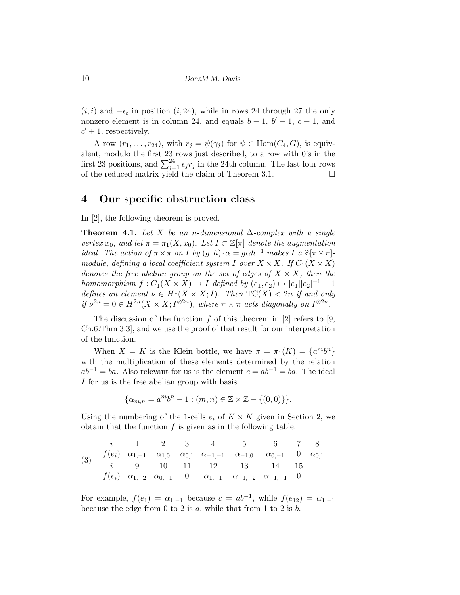$(i, i)$  and  $-\epsilon_i$  in position  $(i, 24)$ , while in rows 24 through 27 the only nonzero element is in column 24, and equals  $b-1$ ,  $b'-1$ ,  $c+1$ , and  $c' + 1$ , respectively.

A row  $(r_1, \ldots, r_{24})$ , with  $r_j = \psi(\gamma_j)$  for  $\psi \in \text{Hom}(C_4, G)$ , is equivalent, modulo the first 23 rows just described, to a row with 0's in the first 23 positions, and  $\sum_{j=1}^{24} \epsilon_j r_j$  in the 24th column. The last four rows of the reduced matrix yield the claim of Theorem 3.1.  $\Box$ 

### 4 Our specific obstruction class

In [2], the following theorem is proved.

Theorem 4.1. Let X be an n-dimensional  $\Delta$ -complex with a single vertex  $x_0$ , and let  $\pi = \pi_1(X, x_0)$ . Let  $I \subset \mathbb{Z}[\pi]$  denote the augmentation ideal. The action of  $\pi \times \pi$  on I by  $(q, h) \cdot \alpha = q \alpha h^{-1}$  makes I a  $\mathbb{Z}[\pi \times \pi]$ module, defining a local coefficient system I over  $X \times X$ . If  $C_1(X \times X)$ denotes the free abelian group on the set of edges of  $X \times X$ , then the homomorphism  $f: C_1(X \times X) \to I$  defined by  $(e_1, e_2) \mapsto [e_1][e_2]^{-1} - 1$ defines an element  $\nu \in H^1(X \times X; I)$ . Then  $TC(X) < 2n$  if and only if  $\nu^{2n} = 0 \in H^{2n}(X \times X; I^{\otimes 2n})$ , where  $\pi \times \pi$  acts diagonally on  $I^{\otimes 2n}$ .

The discussion of the function  $f$  of this theorem in [2] refers to [9, Ch.6:Thm 3.3], and we use the proof of that result for our interpretation of the function.

When  $X = K$  is the Klein bottle, we have  $\pi = \pi_1(K) = \{a^m b^n\}$ with the multiplication of these elements determined by the relation  $ab^{-1} = ba$ . Also relevant for us is the element  $c = ab^{-1} = ba$ . The ideal I for us is the free abelian group with basis

$$
\{\alpha_{m,n} = a^m b^n - 1 : (m,n) \in \mathbb{Z} \times \mathbb{Z} - \{(0,0)\}\}.
$$

Using the numbering of the 1-cells  $e_i$  of  $K \times K$  given in Section 2, we obtain that the function  $f$  is given as in the following table.

(3) i 1 2 3 4 5 6 7 8 f(ei) α1,−<sup>1</sup> α1,<sup>0</sup> α0,<sup>1</sup> α−1,−<sup>1</sup> α−1,<sup>0</sup> α0,−<sup>1</sup> 0 α0,<sup>1</sup> i 9 10 11 12 13 14 15 f(ei) α1,−<sup>2</sup> α0,−<sup>1</sup> 0 α1,−<sup>1</sup> α−1,−<sup>2</sup> α−1,−<sup>1</sup> 0

For example,  $f(e_1) = \alpha_{1,-1}$  because  $c = ab^{-1}$ , while  $f(e_{12}) = \alpha_{1,-1}$ because the edge from 0 to 2 is  $a$ , while that from 1 to 2 is  $b$ .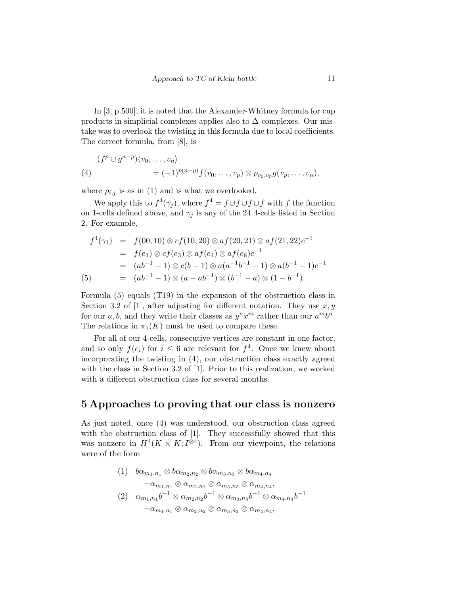In [3, p.500], it is noted that the Alexander-Whitney formula for cup products in simplicial complexes applies also to  $\Delta$ -complexes. Our mistake was to overlook the twisting in this formula due to local coefficients. The correct formula, from [8], is

(4) 
$$
(fp \cup gn-p) \langle v_0, \dots, v_n \rangle
$$
  
=  $(-1)^{p(n-p)} f(v_0, \dots, v_p) \otimes \rho_{v_0, v_p} g(v_p, \dots, v_n),$ 

where  $\rho_{i,j}$  is as in (1) and is what we overlooked.

We apply this to  $f^4(\gamma_j)$ , where  $f^4 = f \cup f \cup f \cup f$  with f the function on 1-cells defined above, and  $\gamma_j$  is any of the 24 4-cells listed in Section 2. For example,

$$
f^{4}(\gamma_{1}) = f(00, 10) \otimes cf(10, 20) \otimes af(20, 21) \otimes af(21, 22)c^{-1}
$$
  
=  $f(e_{1}) \otimes cf(e_{3}) \otimes af(e_{4}) \otimes af(e_{6})c^{-1}$   
=  $(ab^{-1} - 1) \otimes c(b - 1) \otimes a(a^{-1}b^{-1} - 1) \otimes a(b^{-1} - 1)c^{-1}$   
(5) =  $(ab^{-1} - 1) \otimes (a - ab^{-1}) \otimes (b^{-1} - a) \otimes (1 - b^{-1}).$ 

Formula (5) equals (T19) in the expansion of the obstruction class in Section 3.2 of [1], after adjusting for different notation. They use  $x, y$ for our a, b, and they write their classes as  $y^n x^m$  rather than our  $a^m b^n$ . The relations in  $\pi_1(K)$  must be used to compare these.

For all of our 4-cells, consecutive vertices are constant in one factor, and so only  $f(e_i)$  for  $i \leq 6$  are relevant for  $f^4$ . Once we knew about incorporating the twisting in (4), our obstruction class exactly agreed with the class in Section 3.2 of [1]. Prior to this realization, we worked with a different obstruction class for several months.

### 5 Approaches to proving that our class is nonzero

As just noted, once (4) was understood, our obstruction class agreed with the obstruction class of [1]. They successfully showed that this was nonzero in  $H^4(K \times K; I^{\otimes 4})$ . From our viewpoint, the relations were of the form

$$
(1) \quad b\alpha_{m_1,n_1} \otimes b\alpha_{m_2,n_2} \otimes b\alpha_{m_3,n_3} \otimes b\alpha_{m_4,n_4} \n- \alpha_{m_1,n_1} \otimes \alpha_{m_2,n_2} \otimes \alpha_{m_3,n_3} \otimes \alpha_{m_4,n_4}, \n(2) \quad \alpha_{m_1,n_1}b^{-1} \otimes \alpha_{m_2,n_2}b^{-1} \otimes \alpha_{m_3,n_3}b^{-1} \otimes \alpha_{m_4,n_4}b^{-1} \n- \alpha_{m_1,n_1} \otimes \alpha_{m_2,n_2} \otimes \alpha_{m_3,n_3} \otimes \alpha_{m_4,n_4},
$$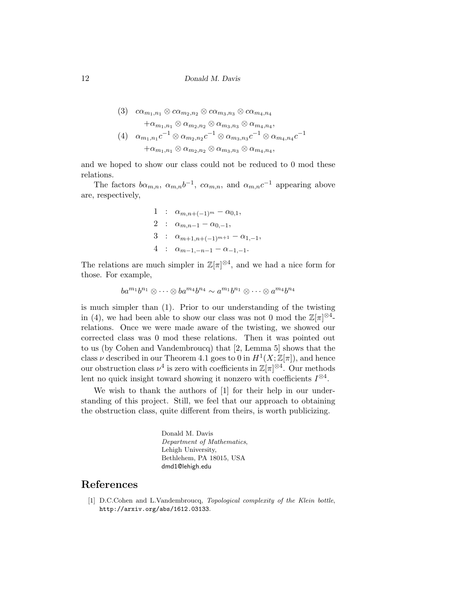(3) 
$$
c\alpha_{m_1,n_1} \otimes c\alpha_{m_2,n_2} \otimes c\alpha_{m_3,n_3} \otimes c\alpha_{m_4,n_4}
$$

$$
+ \alpha_{m_1,n_1} \otimes \alpha_{m_2,n_2} \otimes \alpha_{m_3,n_3} \otimes \alpha_{m_4,n_4},
$$

$$
(4) \quad \alpha_{m_1,n_1}c^{-1} \otimes \alpha_{m_2,n_2}c^{-1} \otimes \alpha_{m_3,n_3}c^{-1} \otimes \alpha_{m_4,n_4}c^{-1}
$$

$$
+ \alpha_{m_1,n_1} \otimes \alpha_{m_2,n_2} \otimes \alpha_{m_3,n_3} \otimes \alpha_{m_4,n_4},
$$

and we hoped to show our class could not be reduced to 0 mod these relations.

The factors  $b\alpha_{m,n}$ ,  $\alpha_{m,n}b^{-1}$ ,  $c\alpha_{m,n}$ , and  $\alpha_{m,n}c^{-1}$  appearing above are, respectively,

1 : 
$$
\alpha_{m,n+(-1)^m} - \alpha_{0,1}
$$
,  
\n2 :  $\alpha_{m,n-1} - \alpha_{0,-1}$ ,  
\n3 :  $\alpha_{m+1,n+(-1)^{m+1}} - \alpha_{1,-1}$ ,  
\n4 :  $\alpha_{m-1,-n-1} - \alpha_{-1,-1}$ .

The relations are much simpler in  $\mathbb{Z}[\pi]^{\otimes 4}$ , and we had a nice form for those. For example,

$$
ba^{m_1}b^{n_1}\otimes \cdots \otimes ba^{m_4}b^{n_4}\sim a^{m_1}b^{n_1}\otimes \cdots \otimes a^{m_4}b^{n_4}
$$

is much simpler than (1). Prior to our understanding of the twisting in (4), we had been able to show our class was not 0 mod the  $\mathbb{Z}[\pi]^{\otimes 4}$ relations. Once we were made aware of the twisting, we showed our corrected class was 0 mod these relations. Then it was pointed out to us (by Cohen and Vandembroucq) that [2, Lemma 5] shows that the class  $\nu$  described in our Theorem 4.1 goes to 0 in  $H^1(X;\mathbb{Z}[\pi])$ , and hence our obstruction class  $\nu^4$  is zero with coefficients in  $\mathbb{Z}[\pi]^{\otimes 4}$ . Our methods lent no quick insight toward showing it nonzero with coefficients  $I^{\otimes 4}$ .

We wish to thank the authors of [1] for their help in our understanding of this project. Still, we feel that our approach to obtaining the obstruction class, quite different from theirs, is worth publicizing.

> Donald M. Davis Department of Mathematics, Lehigh University, Bethlehem, PA 18015, USA dmd1@lehigh.edu

## References

[1] D.C.Cohen and L.Vandembroucq, Topological complexity of the Klein bottle, http://arxiv.org/abs/1612.03133.